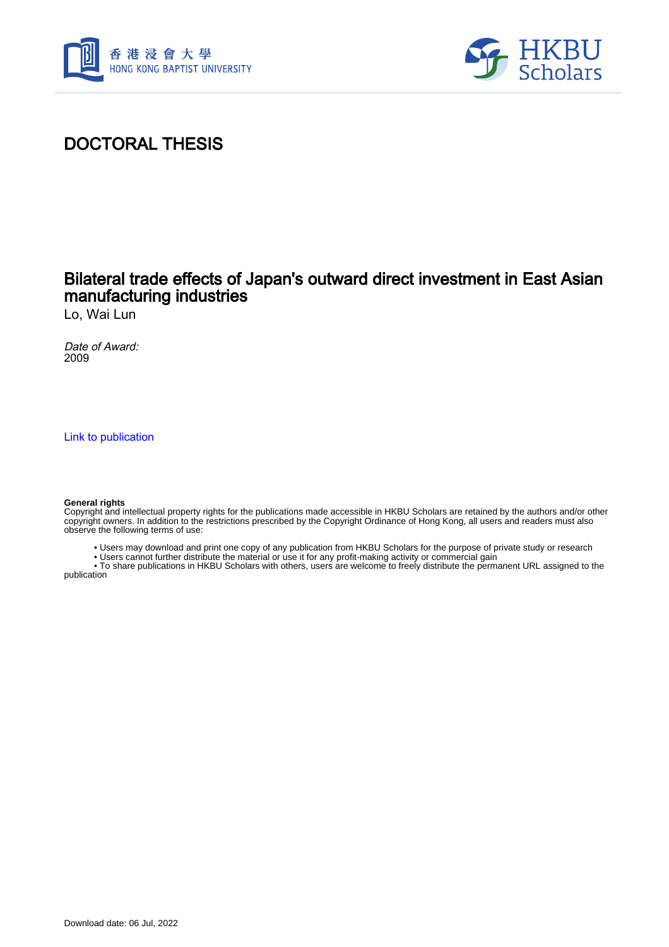



## DOCTORAL THESIS

### Bilateral trade effects of Japan's outward direct investment in East Asian manufacturing industries

Lo, Wai Lun

Date of Award: 2009

[Link to publication](https://scholars.hkbu.edu.hk/en/studentTheses/fadd0c17-ef1d-4ed6-97ca-6fe16baedf6b)

### **General rights**

Copyright and intellectual property rights for the publications made accessible in HKBU Scholars are retained by the authors and/or other copyright owners. In addition to the restrictions prescribed by the Copyright Ordinance of Hong Kong, all users and readers must also observe the following terms of use:

- Users may download and print one copy of any publication from HKBU Scholars for the purpose of private study or research
- Users cannot further distribute the material or use it for any profit-making activity or commercial gain

 • To share publications in HKBU Scholars with others, users are welcome to freely distribute the permanent URL assigned to the publication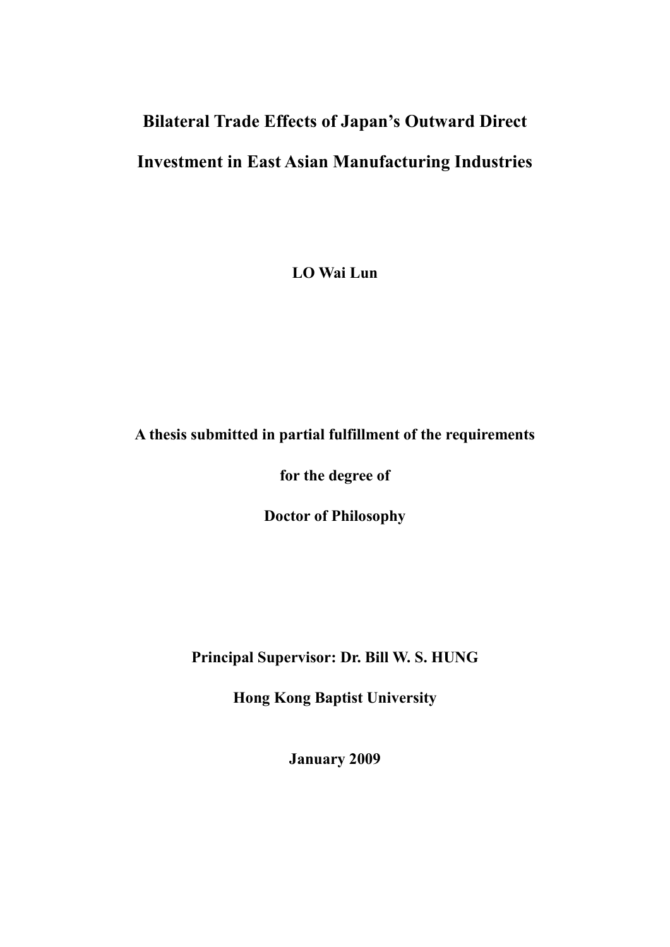# **Bilateral Trade Effects of Japan's Outward Direct Investment in East Asian Manufacturing Industries**

**LO Wai Lun** 

### **A thesis submitted in partial fulfillment of the requirements**

**for the degree of** 

**Doctor of Philosophy** 

**Principal Supervisor: Dr. Bill W. S. HUNG** 

**Hong Kong Baptist University** 

**January 2009**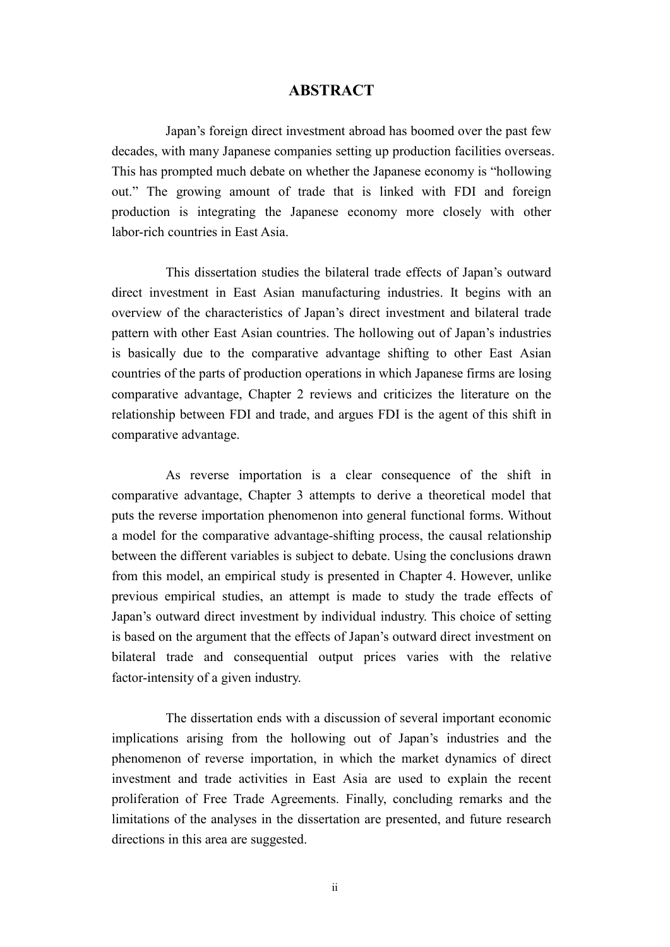### **ABSTRACT**

Japan's foreign direct investment abroad has boomed over the past few decades, with many Japanese companies setting up production facilities overseas. This has prompted much debate on whether the Japanese economy is "hollowing out." The growing amount of trade that is linked with FDI and foreign production is integrating the Japanese economy more closely with other labor-rich countries in East Asia.

This dissertation studies the bilateral trade effects of Japan's outward direct investment in East Asian manufacturing industries. It begins with an overview of the characteristics of Japan's direct investment and bilateral trade pattern with other East Asian countries. The hollowing out of Japan's industries is basically due to the comparative advantage shifting to other East Asian countries of the parts of production operations in which Japanese firms are losing comparative advantage, Chapter 2 reviews and criticizes the literature on the relationship between FDI and trade, and argues FDI is the agent of this shift in comparative advantage.

As reverse importation is a clear consequence of the shift in comparative advantage, Chapter 3 attempts to derive a theoretical model that puts the reverse importation phenomenon into general functional forms. Without a model for the comparative advantage-shifting process, the causal relationship between the different variables is subject to debate. Using the conclusions drawn from this model, an empirical study is presented in Chapter 4. However, unlike previous empirical studies, an attempt is made to study the trade effects of Japan's outward direct investment by individual industry. This choice of setting is based on the argument that the effects of Japan's outward direct investment on bilateral trade and consequential output prices varies with the relative factor-intensity of a given industry.

The dissertation ends with a discussion of several important economic implications arising from the hollowing out of Japan's industries and the phenomenon of reverse importation, in which the market dynamics of direct investment and trade activities in East Asia are used to explain the recent proliferation of Free Trade Agreements. Finally, concluding remarks and the limitations of the analyses in the dissertation are presented, and future research directions in this area are suggested.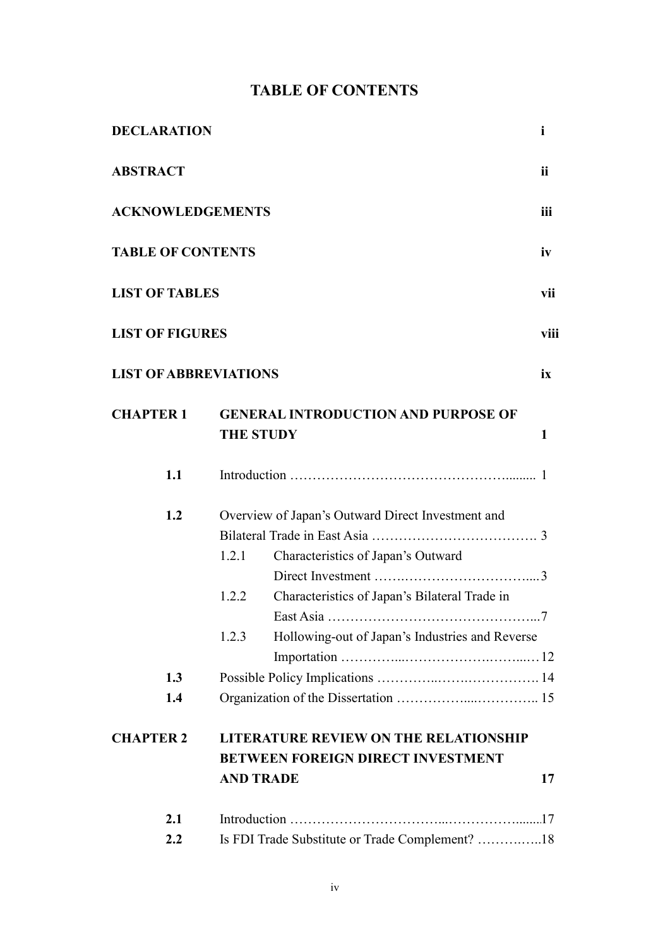### **TABLE OF CONTENTS**

| <b>DECLARATION</b>           |                                                                     |                                                                                                                                          | $\mathbf i$ |  |  |  |
|------------------------------|---------------------------------------------------------------------|------------------------------------------------------------------------------------------------------------------------------------------|-------------|--|--|--|
| <b>ABSTRACT</b>              |                                                                     |                                                                                                                                          | ii          |  |  |  |
| <b>ACKNOWLEDGEMENTS</b>      |                                                                     |                                                                                                                                          | iii         |  |  |  |
| <b>TABLE OF CONTENTS</b>     |                                                                     |                                                                                                                                          | iv          |  |  |  |
| <b>LIST OF TABLES</b>        |                                                                     |                                                                                                                                          | vii         |  |  |  |
| <b>LIST OF FIGURES</b>       |                                                                     |                                                                                                                                          | viii        |  |  |  |
| <b>LIST OF ABBREVIATIONS</b> |                                                                     |                                                                                                                                          | ix          |  |  |  |
| <b>CHAPTER 1</b>             | <b>GENERAL INTRODUCTION AND PURPOSE OF</b><br><b>THE STUDY</b><br>1 |                                                                                                                                          |             |  |  |  |
| 1.1                          |                                                                     |                                                                                                                                          |             |  |  |  |
| 1.2                          | 1.2.1<br>1.2.2                                                      | Overview of Japan's Outward Direct Investment and<br>Characteristics of Japan's Outward<br>Characteristics of Japan's Bilateral Trade in |             |  |  |  |
|                              | 1.2.3                                                               | Hollowing-out of Japan's Industries and Reverse                                                                                          |             |  |  |  |
| 1.3                          |                                                                     |                                                                                                                                          |             |  |  |  |
| 1.4                          |                                                                     |                                                                                                                                          |             |  |  |  |
| <b>CHAPTER 2</b>             |                                                                     | <b>LITERATURE REVIEW ON THE RELATIONSHIP</b><br><b>BETWEEN FOREIGN DIRECT INVESTMENT</b>                                                 |             |  |  |  |
|                              |                                                                     | <b>AND TRADE</b>                                                                                                                         | 17          |  |  |  |
| 2.1                          |                                                                     |                                                                                                                                          |             |  |  |  |
| 2.2                          |                                                                     | Is FDI Trade Substitute or Trade Complement? 18                                                                                          |             |  |  |  |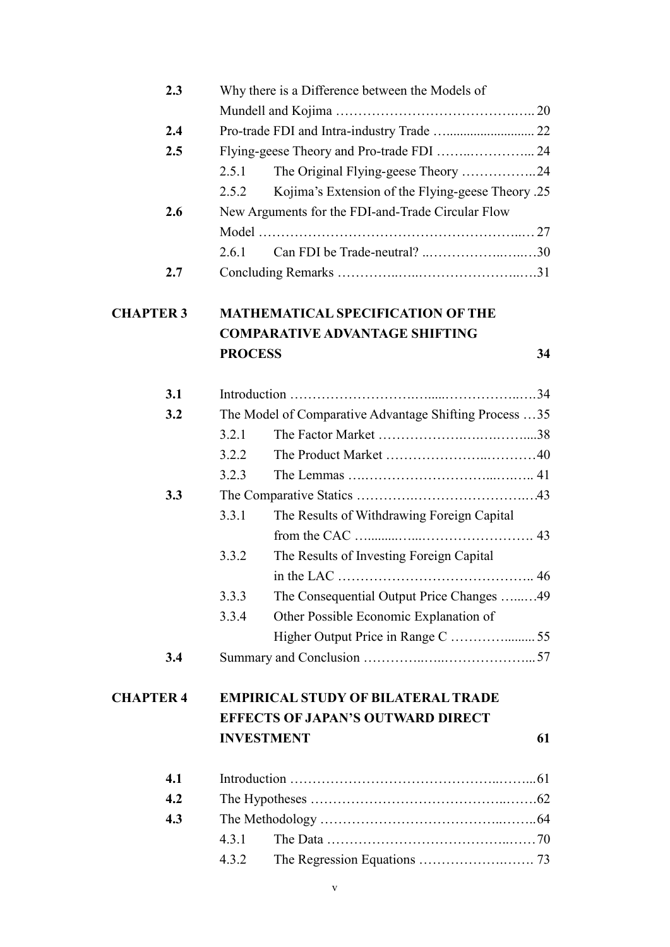| 2.3              |                                                        | Why there is a Difference between the Models of   |    |  |
|------------------|--------------------------------------------------------|---------------------------------------------------|----|--|
|                  |                                                        |                                                   |    |  |
| 2.4              |                                                        |                                                   |    |  |
| 2.5              |                                                        |                                                   |    |  |
|                  | 2.5.1                                                  | The Original Flying-geese Theory 24               |    |  |
|                  | 2.5.2                                                  | Kojima's Extension of the Flying-geese Theory .25 |    |  |
| 2.6              | New Arguments for the FDI-and-Trade Circular Flow      |                                                   |    |  |
|                  |                                                        |                                                   |    |  |
|                  | 2.6.1                                                  |                                                   |    |  |
| 2.7              |                                                        |                                                   |    |  |
| <b>CHAPTER 3</b> |                                                        | <b>MATHEMATICAL SPECIFICATION OF THE</b>          |    |  |
|                  |                                                        | <b>COMPARATIVE ADVANTAGE SHIFTING</b>             |    |  |
|                  | <b>PROCESS</b>                                         |                                                   | 34 |  |
| 3.1              |                                                        |                                                   |    |  |
| 3.2              | The Model of Comparative Advantage Shifting Process 35 |                                                   |    |  |
|                  | 3.2.1                                                  |                                                   |    |  |
|                  | 3.2.2                                                  |                                                   |    |  |
|                  | 3.2.3                                                  |                                                   |    |  |
| 3.3              |                                                        |                                                   |    |  |
|                  | 3.3.1                                                  | The Results of Withdrawing Foreign Capital        |    |  |
|                  |                                                        |                                                   |    |  |
|                  | 3.3.2                                                  | The Results of Investing Foreign Capital          |    |  |
|                  |                                                        |                                                   |    |  |
|                  | 3.3.3                                                  | The Consequential Output Price Changes 49         |    |  |
|                  | 3.3.4                                                  | Other Possible Economic Explanation of            |    |  |
|                  |                                                        |                                                   |    |  |
| 3.4              |                                                        |                                                   |    |  |
| <b>CHAPTER 4</b> | <b>EMPIRICAL STUDY OF BILATERAL TRADE</b>              |                                                   |    |  |
|                  | <b>EFFECTS OF JAPAN'S OUTWARD DIRECT</b>               |                                                   |    |  |
|                  | <b>INVESTMENT</b>                                      |                                                   | 61 |  |
| 4.1              |                                                        |                                                   |    |  |
| 4.2              |                                                        |                                                   |    |  |
| 4.3              |                                                        |                                                   |    |  |
|                  | 4.3.1                                                  |                                                   |    |  |
|                  | 4.3.2                                                  |                                                   |    |  |